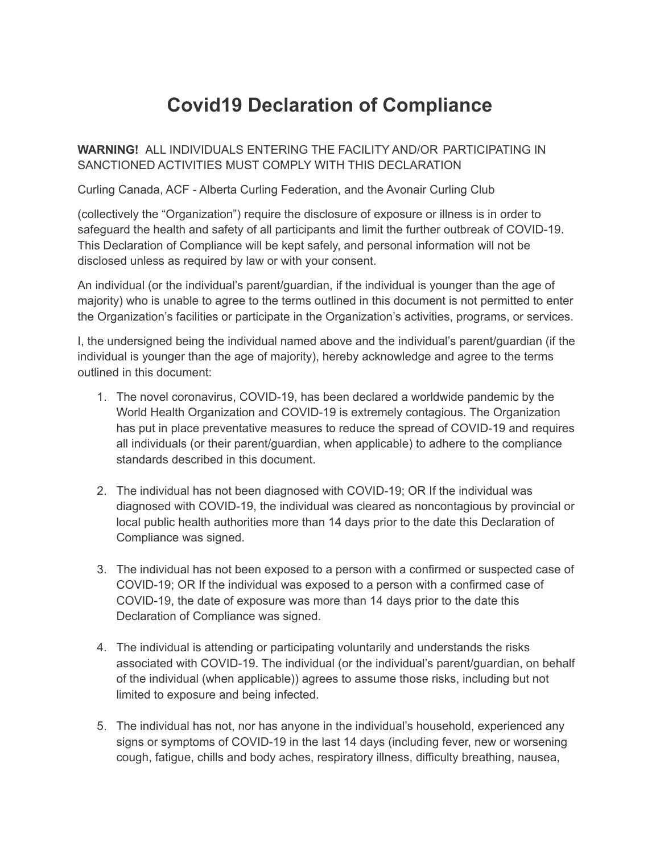## **Covid19 Declaration of Compliance**

**WARNING!** ALL INDIVIDUALS ENTERING THE FACILITY AND/OR PARTICIPATING IN SANCTIONED ACTIVITIES MUST COMPLY WITH THIS DECLARATION

Curling Canada, ACF - Alberta Curling Federation, and the Avonair Curling Club

(collectively the "Organization") require the disclosure of exposure or illness is in order to safeguard the health and safety of all participants and limit the further outbreak of COVID-19. This Declaration of Compliance will be kept safely, and personal information will not be disclosed unless as required by law or with your consent.

An individual (or the individual's parent/guardian, if the individual is younger than the age of majority) who is unable to agree to the terms outlined in this document is not permitted to enter the Organization's facilities or participate in the Organization's activities, programs, or services.

I, the undersigned being the individual named above and the individual's parent/guardian (if the individual is younger than the age of majority), hereby acknowledge and agree to the terms outlined in this document:

- 1. The novel coronavirus, COVID-19, has been declared a worldwide pandemic by the World Health Organization and COVID-19 is extremely contagious. The Organization has put in place preventative measures to reduce the spread of COVID-19 and requires all individuals (or their parent/guardian, when applicable) to adhere to the compliance standards described in this document.
- 2. The individual has not been diagnosed with COVID-19; OR If the individual was diagnosed with COVID-19, the individual was cleared as noncontagious by provincial or local public health authorities more than 14 days prior to the date this Declaration of Compliance was signed.
- 3. The individual has not been exposed to a person with a confirmed or suspected case of COVID-19; OR If the individual was exposed to a person with a confirmed case of COVID-19, the date of exposure was more than 14 days prior to the date this Declaration of Compliance was signed.
- 4. The individual is attending or participating voluntarily and understands the risks associated with COVID-19. The individual (or the individual's parent/guardian, on behalf of the individual (when applicable)) agrees to assume those risks, including but not limited to exposure and being infected.
- 5. The individual has not, nor has anyone in the individual's household, experienced any signs or symptoms of COVID-19 in the last 14 days (including fever, new or worsening cough, fatigue, chills and body aches, respiratory illness, difficulty breathing, nausea,